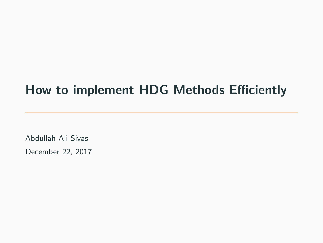# How to implement HDG Methods Efficiently

Abdullah Ali Sivas December 22, 2017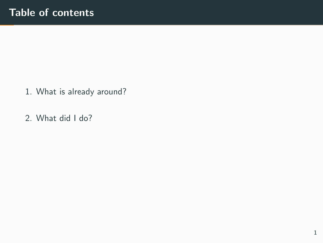- 1. [What is already around?](#page-2-0)
- 2. [What did I do?](#page-28-0)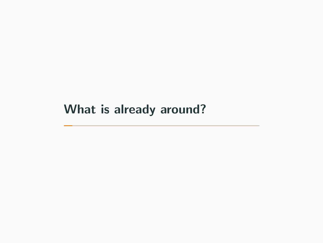# <span id="page-2-0"></span>[What is already around?](#page-2-0)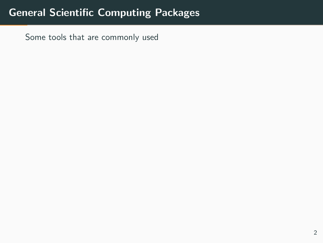# General Scientific Computing Packages

Some tools that are commonly used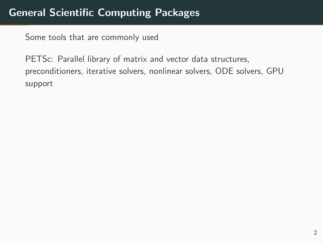PETSc: Parallel library of matrix and vector data structures, preconditioners, iterative solvers, nonlinear solvers, ODE solvers, GPU support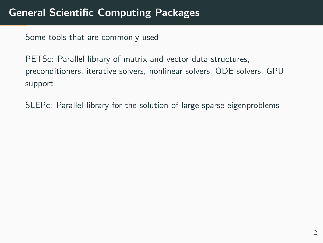PETSc: Parallel library of matrix and vector data structures, preconditioners, iterative solvers, nonlinear solvers, ODE solvers, GPU support

SLEPc: Parallel library for the solution of large sparse eigenproblems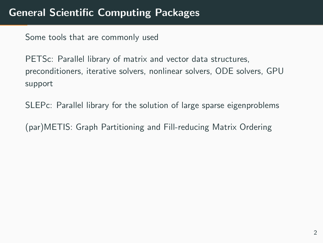PETSc: Parallel library of matrix and vector data structures, preconditioners, iterative solvers, nonlinear solvers, ODE solvers, GPU support

SLEPc: Parallel library for the solution of large sparse eigenproblems

(par)METIS: Graph Partitioning and Fill-reducing Matrix Ordering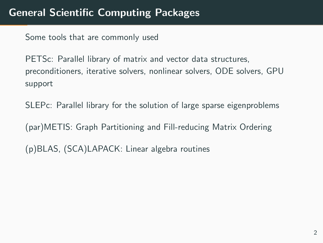PETS<sub>c</sub>: Parallel library of matrix and vector data structures. preconditioners, iterative solvers, nonlinear solvers, ODE solvers, GPU support

SLEPc: Parallel library for the solution of large sparse eigenproblems

(par)METIS: Graph Partitioning and Fill-reducing Matrix Ordering

(p)BLAS, (SCA)LAPACK: Linear algebra routines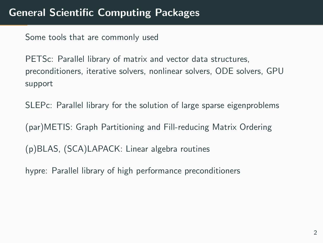PETSc: Parallel library of matrix and vector data structures, preconditioners, iterative solvers, nonlinear solvers, ODE solvers, GPU support

SLEPc: Parallel library for the solution of large sparse eigenproblems

(par)METIS: Graph Partitioning and Fill-reducing Matrix Ordering

(p)BLAS, (SCA)LAPACK: Linear algebra routines

hypre: Parallel library of high performance preconditioners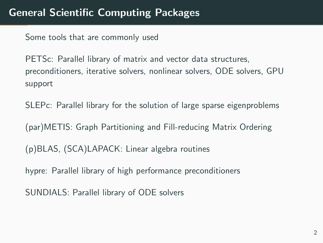PETSc: Parallel library of matrix and vector data structures, preconditioners, iterative solvers, nonlinear solvers, ODE solvers, GPU support

SLEPc: Parallel library for the solution of large sparse eigenproblems

(par)METIS: Graph Partitioning and Fill-reducing Matrix Ordering

(p)BLAS, (SCA)LAPACK: Linear algebra routines

hypre: Parallel library of high performance preconditioners

SUNDIALS: Parallel library of ODE solvers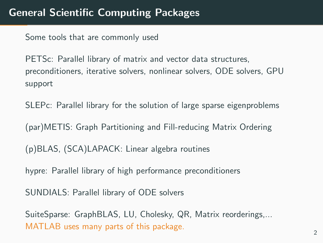PETS<sub>c</sub>: Parallel library of matrix and vector data structures. preconditioners, iterative solvers, nonlinear solvers, ODE solvers, GPU support

SLEPc: Parallel library for the solution of large sparse eigenproblems

(par)METIS: Graph Partitioning and Fill-reducing Matrix Ordering

(p)BLAS, (SCA)LAPACK: Linear algebra routines

hypre: Parallel library of high performance preconditioners

SUNDIALS: Parallel library of ODE solvers

SuiteSparse: GraphBLAS, LU, Cholesky, QR, Matrix reorderings,... MATLAB uses many parts of this package.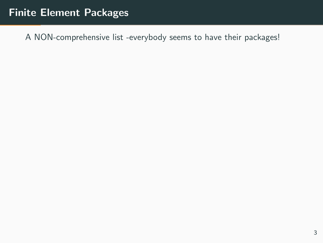## Finite Element Packages

A NON-comprehensive list -everybody seems to have their packages!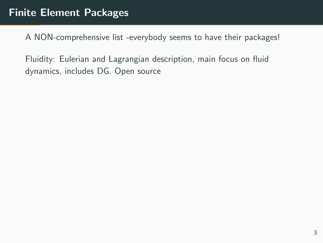Fluidity: Eulerian and Lagrangian description, main focus on fluid dynamics, includes DG. Open source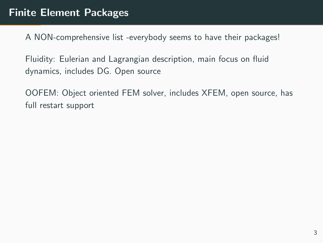Fluidity: Eulerian and Lagrangian description, main focus on fluid dynamics, includes DG. Open source

OOFEM: Object oriented FEM solver, includes XFEM, open source, has full restart support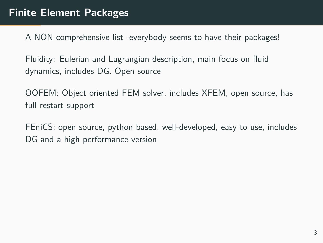Fluidity: Eulerian and Lagrangian description, main focus on fluid dynamics, includes DG. Open source

OOFEM: Object oriented FEM solver, includes XFEM, open source, has full restart support

FEniCS: open source, python based, well-developed, easy to use, includes DG and a high performance version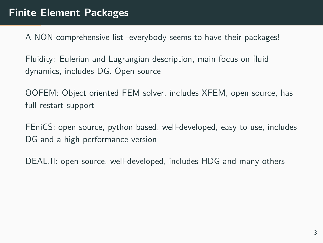Fluidity: Eulerian and Lagrangian description, main focus on fluid dynamics, includes DG. Open source

OOFEM: Object oriented FEM solver, includes XFEM, open source, has full restart support

FEniCS: open source, python based, well-developed, easy to use, includes DG and a high performance version

DEAL.II: open source, well-developed, includes HDG and many others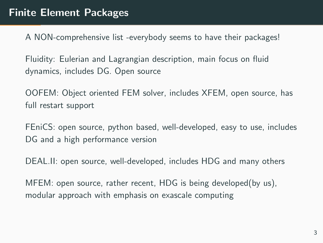Fluidity: Eulerian and Lagrangian description, main focus on fluid dynamics, includes DG. Open source

OOFEM: Object oriented FEM solver, includes XFEM, open source, has full restart support

FEniCS: open source, python based, well-developed, easy to use, includes DG and a high performance version

DEAL.II: open source, well-developed, includes HDG and many others

MFEM: open source, rather recent, HDG is being developed(by us), modular approach with emphasis on exascale computing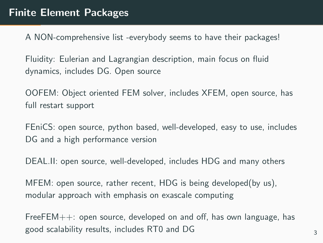Fluidity: Eulerian and Lagrangian description, main focus on fluid dynamics, includes DG. Open source

OOFEM: Object oriented FEM solver, includes XFEM, open source, has full restart support

FEniCS: open source, python based, well-developed, easy to use, includes DG and a high performance version

DEAL.II: open source, well-developed, includes HDG and many others

MFEM: open source, rather recent, HDG is being developed(by us), modular approach with emphasis on exascale computing

FreeFEM++: open source, developed on and off, has own language, has good scalability results, includes RT0 and DG 33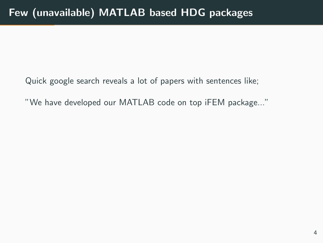"We have developed our MATLAB code on top iFEM package..."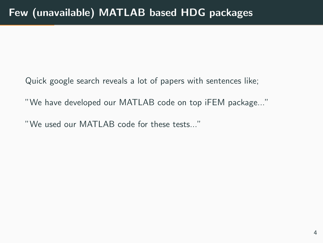"We have developed our MATLAB code on top iFEM package..."

"We used our MATLAB code for these tests..."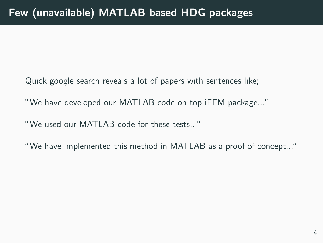"We have developed our MATLAB code on top iFEM package..."

"We used our MATLAB code for these tests..."

"We have implemented this method in MATLAB as a proof of concept..."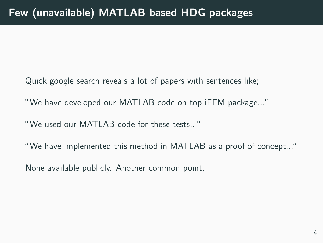- Quick google search reveals a lot of papers with sentences like;
- "We have developed our MATLAB code on top iFEM package..."
- "We used our MATLAB code for these tests..."
- "We have implemented this method in MATLAB as a proof of concept..."
- None available publicly. Another common point,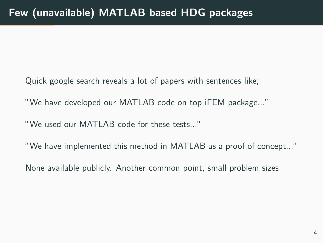- Quick google search reveals a lot of papers with sentences like;
- "We have developed our MATLAB code on top iFEM package..."
- "We used our MATLAB code for these tests..."
- "We have implemented this method in MATLAB as a proof of concept..."
- None available publicly. Another common point, small problem sizes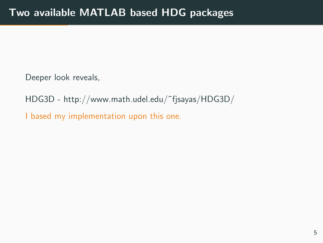HDG3D - http://www.math.udel.edu/˜fjsayas/HDG3D/

I based my implementation upon this one.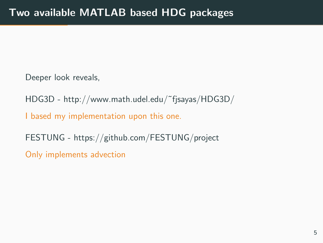HDG3D - http://www.math.udel.edu/˜fjsayas/HDG3D/

I based my implementation upon this one.

FESTUNG - https://github.com/FESTUNG/project

Only implements advection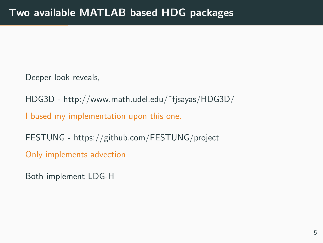HDG3D - http://www.math.udel.edu/˜fjsayas/HDG3D/

I based my implementation upon this one.

FESTUNG - https://github.com/FESTUNG/project

Only implements advection

Both implement LDG-H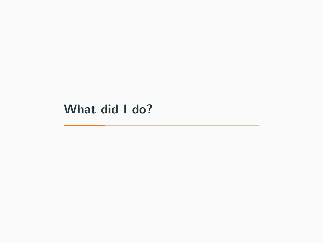# <span id="page-28-0"></span>[What did I do?](#page-28-0)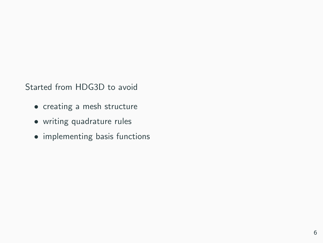Started from HDG3D to avoid

- creating a mesh structure
- writing quadrature rules
- implementing basis functions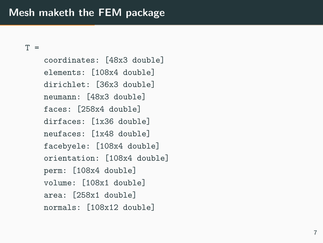### Mesh maketh the FEM package

 $T =$ 

coordinates: [48x3 double] elements: [108x4 double] dirichlet: [36x3 double] neumann: [48x3 double] faces: [258x4 double] dirfaces: [1x36 double] neufaces: [1x48 double] facebyele: [108x4 double] orientation: [108x4 double] perm: [108x4 double] volume: [108x1 double] area: [258x1 double] normals: [108x12 double]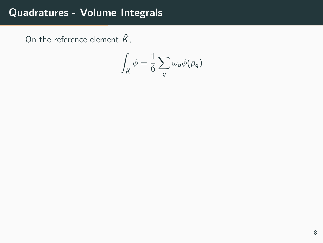On the reference element  $\hat{K}$ ,

$$
\int_{\hat{K}} \phi = \frac{1}{6} \sum_q \omega_q \phi(p_q)
$$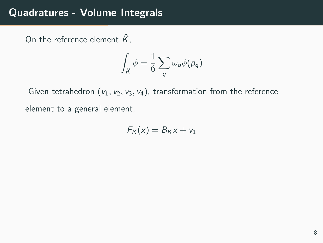On the reference element  $\hat{K}$ ,

$$
\int_{\hat K}\phi=\frac{1}{6}\sum_q\omega_q\phi(p_q)
$$

Given tetrahedron  $(v_1, v_2, v_3, v_4)$ , transformation from the reference element to a general element,

$$
F_K(x) = B_K x + v_1
$$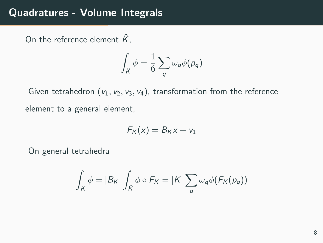On the reference element  $\hat{K}$ ,

$$
\int_{\hat K}\phi=\frac{1}{6}\sum_q\omega_q\phi(p_q)
$$

Given tetrahedron  $(v_1, v_2, v_3, v_4)$ , transformation from the reference element to a general element,

$$
F_K(x) = B_K x + v_1
$$

On general tetrahedra

$$
\int_{K} \phi = |B_{K}| \int_{\hat{K}} \phi \circ F_{K} = |K| \sum_{q} \omega_{q} \phi(F_{K}(p_{q}))
$$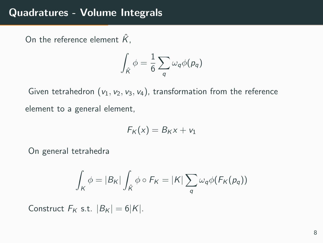On the reference element  $\hat{K}$ .

$$
\int_{\hat{K}} \phi = \frac{1}{6} \sum_q \omega_q \phi(p_q)
$$

Given tetrahedron  $(v_1, v_2, v_3, v_4)$ , transformation from the reference element to a general element,

$$
F_K(x) = B_K x + v_1
$$

On general tetrahedra

$$
\int_{K} \phi = |B_{K}| \int_{\hat{K}} \phi \circ F_{K} = |K| \sum_{q} \omega_{q} \phi(F_{K}(p_{q}))
$$

Construct  $F_K$  s.t.  $|B_K| = 6|K|$ .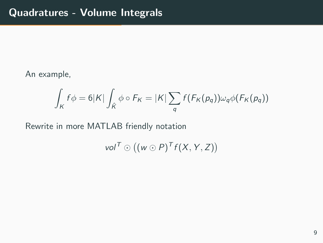An example,

$$
\int_{K} f \phi = 6|K| \int_{\hat{K}} \phi \circ F_K = |K| \sum_{q} f(F_K(p_q)) \omega_q \phi(F_K(p_q))
$$

Rewrite in more MATLAB friendly notation

vol  $\overline{I} \odot ((w \odot P) \overline{I} f(X, Y, Z))$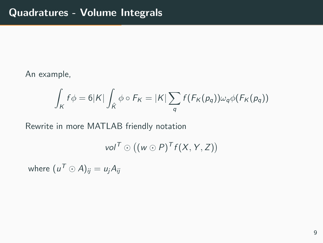#### An example,

$$
\int_{K} f \phi = 6|K| \int_{\hat{K}} \phi \circ F_K = |K| \sum_{q} f(F_K(p_q)) \omega_q \phi(F_K(p_q))
$$

Rewrite in more MATLAB friendly notation

vol  $\overline{I} \odot ((w \odot P) \overline{I} f(X, Y, Z))$ 

where  $(\mu^{\mathcal T} \odot \mathcal A)_{ij} = \iota_{j} A_{ij}$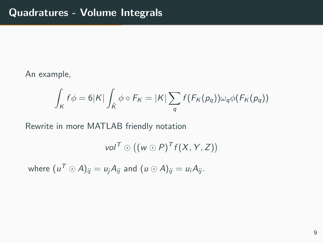#### An example,

$$
\int_{K} f \phi = 6|K| \int_{\hat{K}} \phi \circ F_K = |K| \sum_{q} f(F_K(p_q)) \omega_q \phi(F_K(p_q))
$$

Rewrite in more MATLAB friendly notation

$$
vol^T \odot ((w \odot P)^T f(X, Y, Z))
$$

where  $(u^{\mathcal T} \odot \mathcal A)_{ij} = u_j A_{ij}$  and  $(u \odot \mathcal A)_{ij} = u_i A_{ij}$ .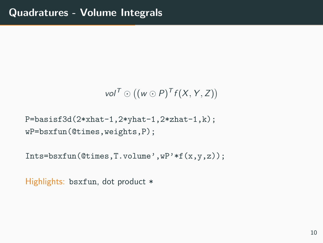$$
vol^T \odot ((w \odot P)^T f(X, Y, Z))
$$

P=basisf3d(2\*xhat-1,2\*yhat-1,2\*zhat-1,k); wP=bsxfun(@times,weights,P);

Ints=bsxfun(@times,T.volume',wP'\*f(x,y,z));

Highlights: bsxfun, dot product \*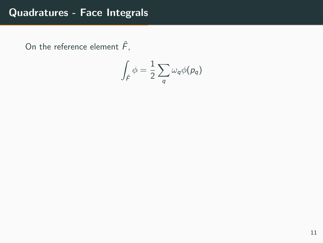On the reference element  $\hat{F}$ ,

$$
\int_{\hat{\digamma}} \phi = \frac{1}{2} \sum_q \omega_q \phi(p_q)
$$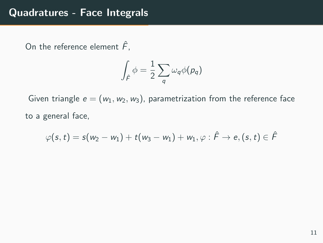On the reference element  $\hat{F}$ ,

$$
\int_{\hat{\digamma}} \phi = \frac{1}{2} \sum_q \omega_q \phi(p_q)
$$

Given triangle  $e = (w_1, w_2, w_3)$ , parametrization from the reference face to a general face,

$$
\varphi(s,t)=s(w_2-w_1)+t(w_3-w_1)+w_1,\varphi:\hat{\digamma}\rightarrow e, (s,t)\in \hat{\digamma}
$$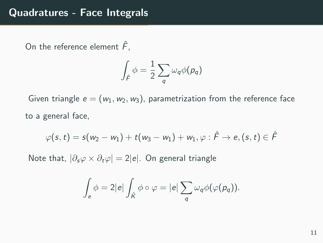On the reference element  $\hat{F}$ ,

$$
\int_{\hat{F}} \phi = \frac{1}{2} \sum_q \omega_q \phi(p_q)
$$

Given triangle  $e = (w_1, w_2, w_3)$ , parametrization from the reference face to a general face,

$$
\varphi(s,t)=s(w_2-w_1)+t(w_3-w_1)+w_1,\varphi:\hat{\digamma}\rightarrow e, (s,t)\in \hat{\digamma}
$$

Note that,  $|\partial_s \varphi \times \partial_t \varphi| = 2|e|$ . On general triangle

$$
\int_{e} \phi = 2|e| \int_{\hat{K}} \phi \circ \varphi = |e| \sum_{q} \omega_{q} \phi(\varphi(p_{q})).
$$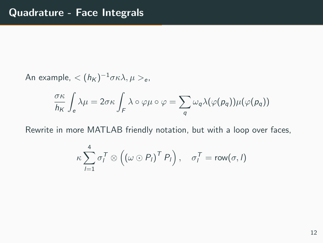An example,  $< (h_K)^{-1} \sigma \kappa \lambda, \mu >_\mathrm{e}$ ,

$$
\frac{\sigma\kappa}{h_K}\int_e \lambda\mu = 2\sigma\kappa \int_F \lambda \circ \varphi\mu \circ \varphi = \sum_q \omega_q \lambda(\varphi(p_q))\mu(\varphi(p_q))
$$

Rewrite in more MATLAB friendly notation, but with a loop over faces,

$$
\kappa \sum_{l=1}^4 \sigma_l^T \otimes \left( \left( \omega \odot P_l \right)^T P_l \right), \quad \sigma_l^T = \text{row}(\sigma, l)
$$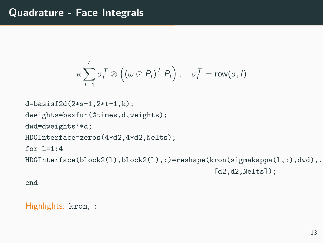```
\kappa \sum_{ }^{4}l=1\sigma_l^{\mathcal T} \otimes \left( \left( \omega \odot P_l \right)^{\mathcal T} P_l \right), \quad \sigma_l^{\mathcal T} = \mathsf{row}(\sigma,l)
```

```
d=basisf2d(2*s-1,2*t-1,k);
dweights=bsxfun(@times,d,weights);
dwd=dweights'*d;
HDGInterface=zeros(4*d2,4*d2,Nelts);
for 1=1:4HDGInterface(block2(1),block2(1),:)=reshape(kron(sigmakappa(1,:),dwd),.
                                              [d2,d2,Nelts]:
```
end

Highlights: kron, :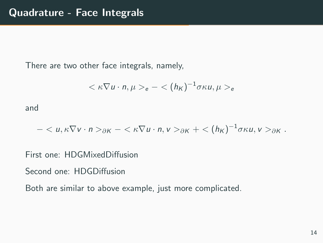There are two other face integrals, namely,

$$
<\kappa \nabla u \cdot n, \mu>_{e} - <(h_{K})^{-1} \sigma \kappa u, \mu>_{e}
$$

and

$$
-_{\partial K}-<\kappa\nabla u\cdot n,v>_{\partial K}+<(h_K)^{-1}\sigma\kappa u,v>_{\partial K}.
$$

First one: HDGMixedDiffusion

Second one: HDGDiffusion

Both are similar to above example, just more complicated.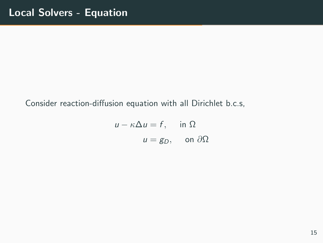#### Consider reaction-diffusion equation with all Dirichlet b.c.s,

$$
u - \kappa \Delta u = f, \quad \text{in } \Omega
$$

$$
u = g_D, \quad \text{on } \partial \Omega
$$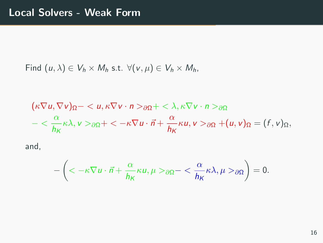Find  $(u, \lambda) \in V_h \times M_h$  s.t.  $\forall (v, \mu) \in V_h \times M_h$ ,

$$
(\kappa \nabla u, \nabla v)_{\Omega} - \langle u, \kappa \nabla v \cdot n \rangle_{\partial \Omega} + \langle \lambda, \kappa \nabla v \cdot n \rangle_{\partial \Omega} - \langle \frac{\alpha}{h_K} \kappa \lambda, v \rangle_{\partial \Omega} + \langle -\kappa \nabla u \cdot \vec{n} + \frac{\alpha}{h_K} \kappa u, v \rangle_{\partial \Omega} + (u, v)_{\Omega} = (f, v)_{\Omega},
$$

and,

$$
-\left( <-\kappa \nabla u \cdot \vec{n}+\frac{\alpha}{h_K}\kappa u, \mu>_{\partial\Omega}-<\frac{\alpha}{h_K}\kappa \lambda, \mu>_{\partial\Omega}\right)=0.
$$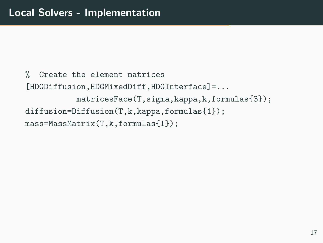```
% Create the element matrices
[HDGDiffusion,HDGMixedDiff,HDGInterface]=...
           matricesFace(T,sigma,kappa,k,formulas{3});
diffusion=Diffusion(T,k,kappa,formulas{1});
mass=MassMatrix(T,k,formulas{1});
```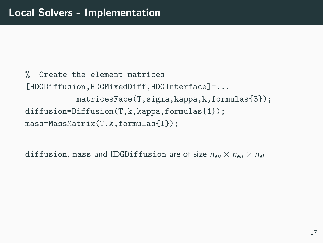```
% Create the element matrices
[HDGDiffusion,HDGMixedDiff,HDGInterface]=...
           matricesFace(T,sigma,kappa,k,formulas{3});
diffusion=Diffusion(T,k,kappa,formulas{1});
mass=MassMatrix(T,k,formulas{1});
```
diffusion, mass and HDGDiffusion are of size  $n_{\text{eff}} \times n_{\text{eff}} \times n_{\text{eff}}$ .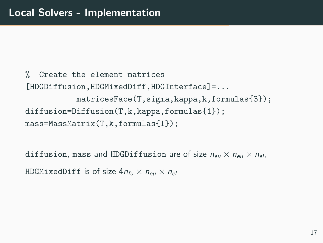```
% Create the element matrices
[HDGDiffusion,HDGMixedDiff,HDGInterface]=...
           matricesFace(T,sigma,kappa,k,formulas{3});
diffusion=Diffusion(T,k,kappa,formulas{1});
mass=MassMatrix(T,k,formulas{1});
```
diffusion, mass and HDGDiffusion are of size  $n_{\text{eff}} \times n_{\text{eff}} \times n_{\text{eff}}$ . HDGMixedDiff is of size  $4n_{\text{f}u} \times n_{\text{eff}} \times n_{\text{eff}}$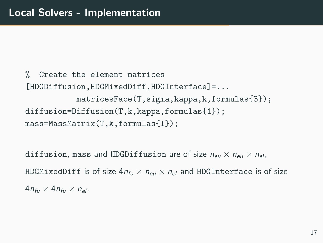% Create the element matrices [HDGDiffusion,HDGMixedDiff,HDGInterface]=... matricesFace(T,sigma,kappa,k,formulas{3}); diffusion=Diffusion(T,k,kappa,formulas{1}); mass=MassMatrix(T,k,formulas{1});

diffusion, mass and HDGDiffusion are of size  $n_{\text{eff}} \times n_{\text{eff}} \times n_{\text{eff}}$ . HDGMixedDiff is of size  $4n_{\text{fit}} \times n_{\text{est}} \times n_{\text{el}}$  and HDGInterface is of size  $4n_{\rm fu} \times 4n_{\rm fu} \times n_{\rm el}$ .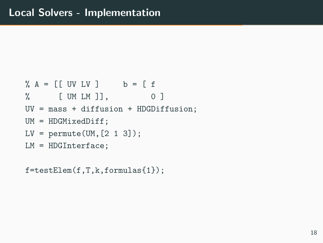```
% A = [[UV LV ] b = [f
% [ UM LM ]], 0 ]
UV = mass + diffusion + HDGDiffusion;
UM = HDGMixedDiff;
LV = permute(UM, [2 1 3]);
LM = HDGInterface;
```
f=testElem(f,T,k,formulas{1});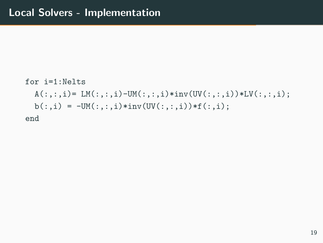```
for i=1:Nelts
  A(:,:,i) = LM(:,:,i) - UM(:,:,i)*inv(UV(:,:,i)) * LV(:,:,i);b(:,i) = -UM(:,,:,i)*inv(UV(:,,:,i))*f(:,i));end
```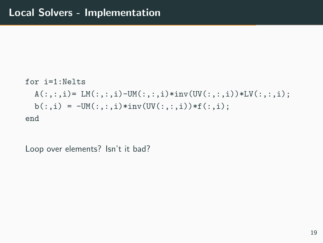```
for i=1:Nelts
 A(:,:,i) = LM(:,:,i) - UM(:,:,i)*inv(UV(:,:,i)) * LV(:,:,i);b(:,i) = -UM(:,:,i)*inv(UV(:,,:,i))*f(:,i));end
```
Loop over elements? Isn't it bad?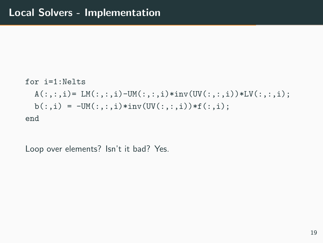```
for i=1:Nelts
 A(:,:,i) = LM(:,:,i) - UM(:,:,i)*inv(UV(:,:,i)) * LV(:,:,i);b(:,i) = -UM(:,:,i)*inv(UV(:,,:,i))*f(:,i));end
```
Loop over elements? Isn't it bad? Yes.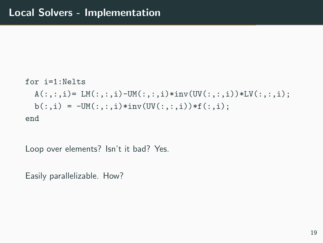```
for i=1:Nelts
 A(:,:,i) = LM(:,:,i) - UM(:,:,i)*inv(UV(:,:,i)) * LV(:,:,i);b(:,i) = -UM(:,:,i)*inv(UV(:,,:,i))*f(:,i));end
```
Loop over elements? Isn't it bad? Yes.

Easily parallelizable. How?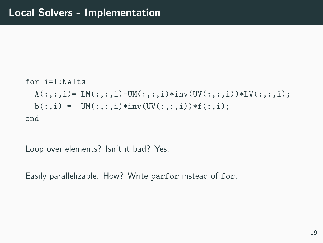```
for i=1:Nelts
 A(:,:,i) = LM(:,:,i) - UM(:,:,i)*inv(UV(:,:,i)) * LV(:,:,i);b(:,i) = -UM(:,:,i)*inv(UV(:,,:,i))*f(:,i));end
```
Loop over elements? Isn't it bad? Yes.

Easily parallelizable. How? Write parfor instead of for.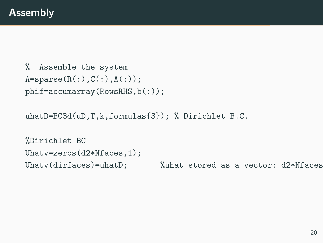```
% Assemble the system
A = sparse(R(:,),C(:,),A(:,));phif=accumarray(RowsRHS,b(:));
```
uhatD=BC3d(uD,T,k,formulas{3}); % Dirichlet B.C.

```
%Dirichlet BC
Uhatv=zeros(d2*Nfaces,1);
Uhatv(dirfaces)=uhatD; %uhat stored as a vector: d2*Nfaces
```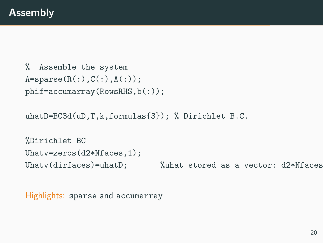```
% Assemble the system
A = sparse(R(:),C(:),A(:));phif=accumarray(RowsRHS,b(:));
```
uhatD=BC3d(uD,T,k,formulas{3}); % Dirichlet B.C.

```
%Dirichlet BC
Uhatv=zeros(d2*Nfaces,1);
Uhatv(dirfaces)=uhatD; %uhat stored as a vector: d2*Nfaces
```
Highlights: sparse and accumarray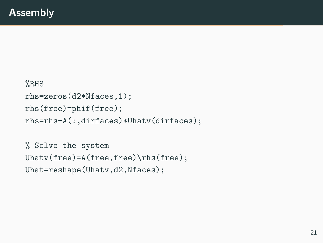```
%RHS
rhs=zeros(d2*Nfaces,1);
rhs(free)=phif(free);
rhs=rhs-A(:,dirfaces)*Uhatv(dirfaces);
```

```
% Solve the system
Uhatv(free)=A(free,free)\rhs(free);
Uhat=reshape(Uhatv,d2,Nfaces);
```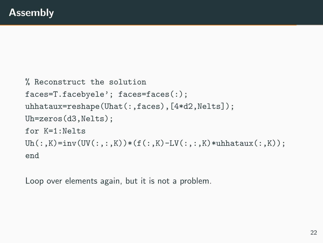```
% Reconstruct the solution
faces=T.facebyele'; faces=faces(:);
uhhataux=reshape(Uhat(:,faces),[4*d2,Nelts]);
Uh=zeros(d3,Nelts);
for K=1:Nelts
Uh(:,K)=inv(UV(:,(:,K))*(f(:,K)-LV(:,:,K)*uhhataux(:,K));end
```
Loop over elements again, but it is not a problem.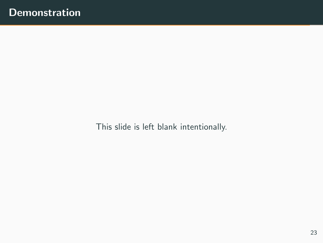This slide is left blank intentionally.